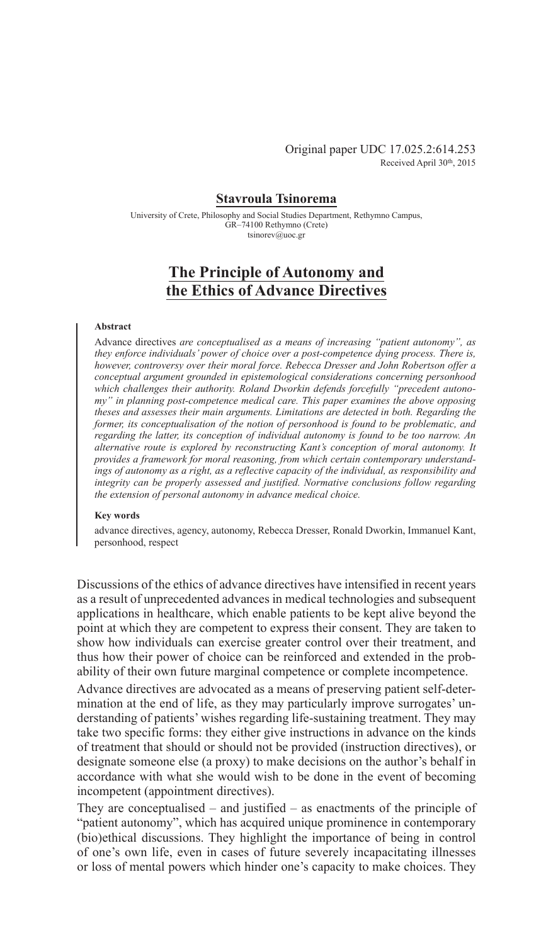## **Stavroula Tsinorema**

University of Crete, Philosophy and Social Studies Department, Rethymno Campus, GR–74100 Rethymno (Crete) tsinorev@uoc.gr

# **The Principle of Autonomy and the Ethics of Advance Directives**

## **Abstract**

Advance directives *are conceptualised as a means of increasing "patient autonomy", as they enforce individuals' power of choice over a post-competence dying process. There is, however, controversy over their moral force. Rebecca Dresser and John Robertson offer a conceptual argument grounded in epistemological considerations concerning personhood which challenges their authority. Roland Dworkin defends forcefully "precedent autonomy" in planning post-competence medical care. This paper examines the above opposing theses and assesses their main arguments. Limitations are detected in both. Regarding the former, its conceptualisation of the notion of personhood is found to be problematic, and regarding the latter, its conception of individual autonomy is found to be too narrow. An alternative route is explored by reconstructing Kant's conception of moral autonomy. It provides a framework for moral reasoning, from which certain contemporary understandings of autonomy as a right, as a reflective capacity of the individual, as responsibility and integrity can be properly assessed and justified. Normative conclusions follow regarding the extension of personal autonomy in advance medical choice.*

### **Key words**

advance directives, agency, autonomy, Rebecca Dresser, Ronald Dworkin, Immanuel Kant, personhood, respect

Discussions of the ethics of advance directives have intensified in recent years as a result of unprecedented advances in medical technologies and subsequent applications in healthcare, which enable patients to be kept alive beyond the point at which they are competent to express their consent. They are taken to show how individuals can exercise greater control over their treatment, and thus how their power of choice can be reinforced and extended in the probability of their own future marginal competence or complete incompetence.

Advance directives are advocated as a means of preserving patient self-determination at the end of life, as they may particularly improve surrogates' understanding of patients' wishes regarding life-sustaining treatment. They may take two specific forms: they either give instructions in advance on the kinds of treatment that should or should not be provided (instruction directives), or designate someone else (a proxy) to make decisions on the author's behalf in accordance with what she would wish to be done in the event of becoming incompetent (appointment directives).

They are conceptualised – and justified – as enactments of the principle of "patient autonomy", which has acquired unique prominence in contemporary (bio)ethical discussions. They highlight the importance of being in control of one's own life, even in cases of future severely incapacitating illnesses or loss of mental powers which hinder one's capacity to make choices. They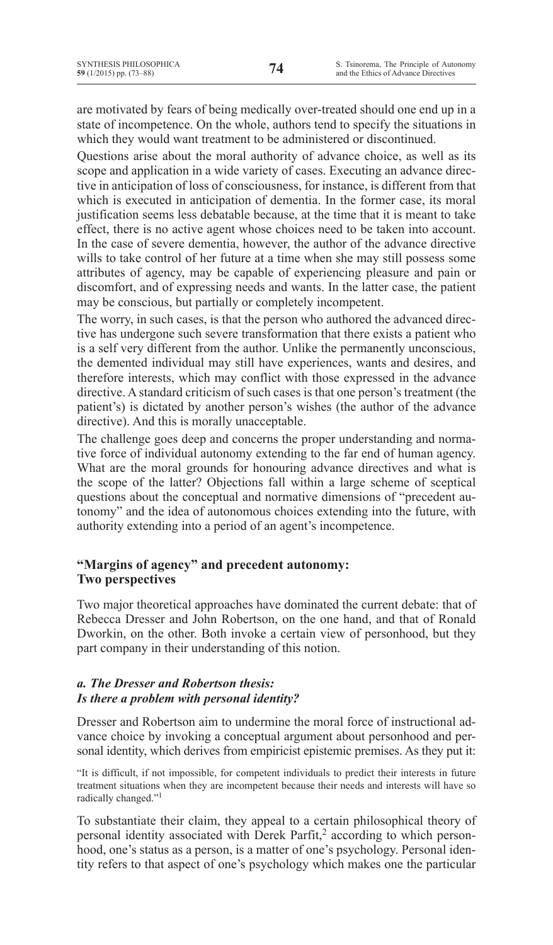are motivated by fears of being medically over-treated should one end up in a state of incompetence. On the whole, authors tend to specify the situations in which they would want treatment to be administered or discontinued.

Questions arise about the moral authority of advance choice, as well as its scope and application in a wide variety of cases. Executing an advance directive in anticipation of loss of consciousness, for instance, is different from that which is executed in anticipation of dementia. In the former case, its moral justification seems less debatable because, at the time that it is meant to take effect, there is no active agent whose choices need to be taken into account. In the case of severe dementia, however, the author of the advance directive wills to take control of her future at a time when she may still possess some attributes of agency, may be capable of experiencing pleasure and pain or discomfort, and of expressing needs and wants. In the latter case, the patient may be conscious, but partially or completely incompetent.

The worry, in such cases, is that the person who authored the advanced directive has undergone such severe transformation that there exists a patient who is a self very different from the author. Unlike the permanently unconscious, the demented individual may still have experiences, wants and desires, and therefore interests, which may conflict with those expressed in the advance directive. A standard criticism of such cases is that one person's treatment (the patient's) is dictated by another person's wishes (the author of the advance directive). And this is morally unacceptable.

The challenge goes deep and concerns the proper understanding and normative force of individual autonomy extending to the far end of human agency. What are the moral grounds for honouring advance directives and what is the scope of the latter? Objections fall within a large scheme of sceptical questions about the conceptual and normative dimensions of "precedent autonomy" and the idea of autonomous choices extending into the future, with authority extending into a period of an agent's incompetence.

## **"Margins of agency" and precedent autonomy: Two perspectives**

Two major theoretical approaches have dominated the current debate: that of Rebecca Dresser and John Robertson, on the one hand, and that of Ronald Dworkin, on the other. Both invoke a certain view of personhood, but they part company in their understanding of this notion.

## *a. The Dresser and Robertson thesis: Is there a problem with personal identity?*

Dresser and Robertson aim to undermine the moral force of instructional advance choice by invoking a conceptual argument about personhood and personal identity, which derives from empiricist epistemic premises. As they put it:

"It is difficult, if not impossible, for competent individuals to predict their interests in future treatment situations when they are incompetent because their needs and interests will have so radically changed."1

To substantiate their claim, they appeal to a certain philosophical theory of personal identity associated with Derek Parfit,<sup>2</sup> according to which personhood, one's status as a person, is a matter of one's psychology. Personal identity refers to that aspect of one's psychology which makes one the particular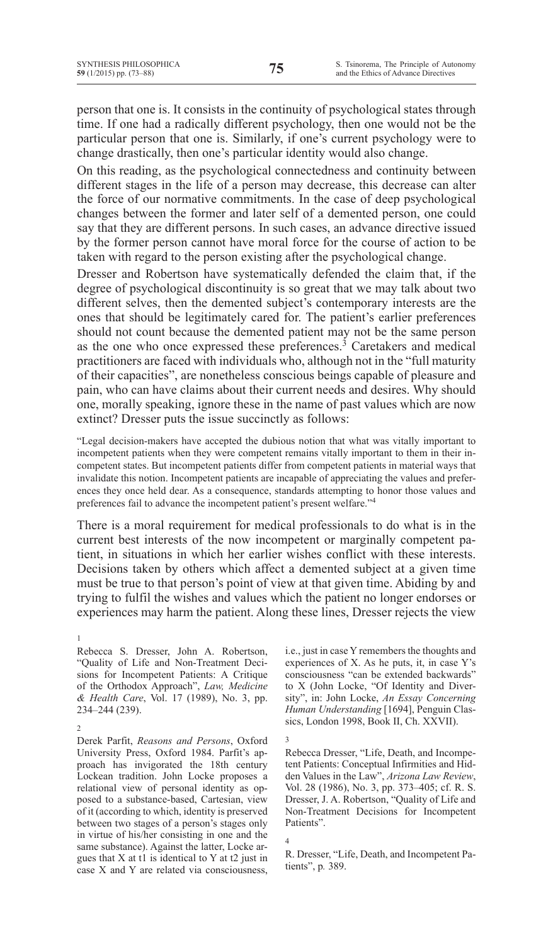person that one is. It consists in the continuity of psychological states through time. If one had a radically different psychology, then one would not be the particular person that one is. Similarly, if one's current psychology were to change drastically, then one's particular identity would also change.

On this reading, as the psychological connectedness and continuity between different stages in the life of a person may decrease, this decrease can alter the force of our normative commitments. In the case of deep psychological changes between the former and later self of a demented person, one could say that they are different persons. In such cases, an advance directive issued by the former person cannot have moral force for the course of action to be taken with regard to the person existing after the psychological change.

Dresser and Robertson have systematically defended the claim that, if the degree of psychological discontinuity is so great that we may talk about two different selves, then the demented subject's contemporary interests are the ones that should be legitimately cared for. The patient's earlier preferences should not count because the demented patient may not be the same person as the one who once expressed these preferences. $\frac{3}{3}$  Caretakers and medical practitioners are faced with individuals who, although not in the "full maturity of their capacities", are nonetheless conscious beings capable of pleasure and pain, who can have claims about their current needs and desires. Why should one, morally speaking, ignore these in the name of past values which are now extinct? Dresser puts the issue succinctly as follows:

"Legal decision-makers have accepted the dubious notion that what was vitally important to incompetent patients when they were competent remains vitally important to them in their incompetent states. But incompetent patients differ from competent patients in material ways that invalidate this notion. Incompetent patients are incapable of appreciating the values and preferences they once held dear. As a consequence, standards attempting to honor those values and preferences fail to advance the incompetent patient's present welfare."4

There is a moral requirement for medical professionals to do what is in the current best interests of the now incompetent or marginally competent patient, in situations in which her earlier wishes conflict with these interests. Decisions taken by others which affect a demented subject at a given time must be true to that person's point of view at that given time. Abiding by and trying to fulfil the wishes and values which the patient no longer endorses or experiences may harm the patient. Along these lines, Dresser rejects the view

1

Derek Parfit, *Reasons and Persons*, Oxford University Press, Oxford 1984. Parfit's approach has invigorated the 18th century Lockean tradition. John Locke proposes a relational view of personal identity as opposed to a substance-based, Cartesian, view of it (according to which, identity is preserved between two stages of a person's stages only in virtue of his/her consisting in one and the same substance). Against the latter, Locke argues that X at t1 is identical to Y at t2 just in case X and Y are related via consciousness,

i.e., just in case Y remembers the thoughts and experiences of X. As he puts, it, in case Y's consciousness "can be extended backwards" to X (John Locke, "Of Identity and Diversity", in: John Locke, *An Essay Concerning Human Understanding* [1694], Penguin Classics, London 1998, Book II, Ch. XXVII).

Rebecca Dresser, "Life, Death, and Incompetent Patients: Conceptual Infirmities and Hidden Values in the Law", *Arizona Law Review*, Vol. 28 (1986), No. 3, pp. 373–405; cf. R. S. Dresser, J. A. Robertson, "Quality of Life and Non-Treatment Decisions for Incompetent Patients".

3

R. Dresser, "Life, Death, and Incompetent Patients", p*.* 389.

Rebecca S. Dresser, John A. Robertson, "Quality of Life and Non-Treatment Decisions for Incompetent Patients: A Critique of the Orthodox Approach", *Law, Medicine & Health Care*, Vol. 17 (1989), No. 3, pp. 234–244 (239).

<sup>2</sup>

<sup>4</sup>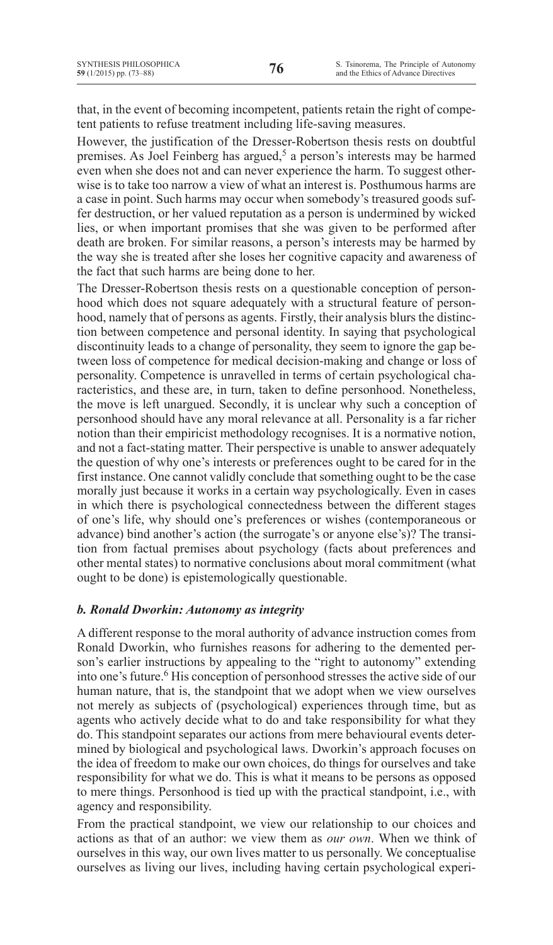that, in the event of becoming incompetent, patients retain the right of competent patients to refuse treatment including life-saving measures.

However, the justification of the Dresser-Robertson thesis rests on doubtful premises. As Joel Feinberg has argued,<sup>5</sup> a person's interests may be harmed even when she does not and can never experience the harm. To suggest otherwise is to take too narrow a view of what an interest is. Posthumous harms are a case in point. Such harms may occur when somebody's treasured goods suffer destruction, or her valued reputation as a person is undermined by wicked lies, or when important promises that she was given to be performed after death are broken. For similar reasons, a person's interests may be harmed by the way she is treated after she loses her cognitive capacity and awareness of the fact that such harms are being done to her.

The Dresser-Robertson thesis rests on a questionable conception of personhood which does not square adequately with a structural feature of personhood, namely that of persons as agents. Firstly, their analysis blurs the distinction between competence and personal identity. In saying that psychological discontinuity leads to a change of personality, they seem to ignore the gap between loss of competence for medical decision-making and change or loss of personality. Competence is unravelled in terms of certain psychological characteristics, and these are, in turn, taken to define personhood. Nonetheless, the move is left unargued. Secondly, it is unclear why such a conception of personhood should have any moral relevance at all. Personality is a far richer notion than their empiricist methodology recognises. It is a normative notion, and not a fact-stating matter. Their perspective is unable to answer adequately the question of why one's interests or preferences ought to be cared for in the first instance. One cannot validly conclude that something ought to be the case morally just because it works in a certain way psychologically. Even in cases in which there is psychological connectedness between the different stages of one's life, why should one's preferences or wishes (contemporaneous or advance) bind another's action (the surrogate's or anyone else's)? The transition from factual premises about psychology (facts about preferences and other mental states) to normative conclusions about moral commitment (what ought to be done) is epistemologically questionable.

## *b. Ronald Dworkin: Autonomy as integrity*

A different response to the moral authority of advance instruction comes from Ronald Dworkin, who furnishes reasons for adhering to the demented person's earlier instructions by appealing to the "right to autonomy" extending into one's future.<sup>6</sup> His conception of personhood stresses the active side of our human nature, that is, the standpoint that we adopt when we view ourselves not merely as subjects of (psychological) experiences through time, but as agents who actively decide what to do and take responsibility for what they do. This standpoint separates our actions from mere behavioural events determined by biological and psychological laws. Dworkin's approach focuses on the idea of freedom to make our own choices, do things for ourselves and take responsibility for what we do. This is what it means to be persons as opposed to mere things. Personhood is tied up with the practical standpoint, i.e., with agency and responsibility.

From the practical standpoint, we view our relationship to our choices and actions as that of an author: we view them as *our own*. When we think of ourselves in this way, our own lives matter to us personally. We conceptualise ourselves as living our lives, including having certain psychological experi-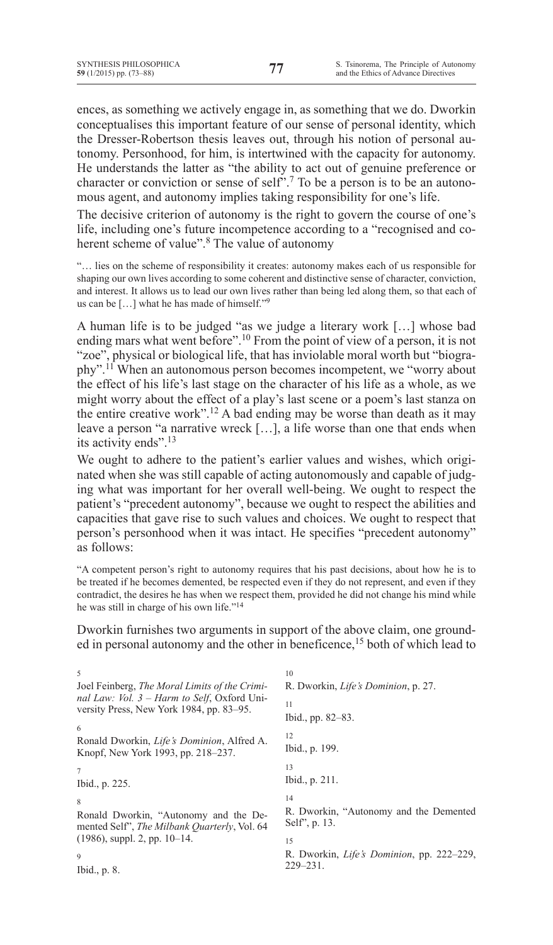ences, as something we actively engage in, as something that we do. Dworkin conceptualises this important feature of our sense of personal identity, which the Dresser-Robertson thesis leaves out, through his notion of personal autonomy. Personhood, for him, is intertwined with the capacity for autonomy. He understands the latter as "the ability to act out of genuine preference or character or conviction or sense of self".7 To be a person is to be an autonomous agent, and autonomy implies taking responsibility for one's life.

The decisive criterion of autonomy is the right to govern the course of one's life, including one's future incompetence according to a "recognised and coherent scheme of value".<sup>8</sup> The value of autonomy

"… lies on the scheme of responsibility it creates: autonomy makes each of us responsible for shaping our own lives according to some coherent and distinctive sense of character, conviction, and interest. It allows us to lead our own lives rather than being led along them, so that each of us can be […] what he has made of himself."9

A human life is to be judged "as we judge a literary work […] whose bad ending mars what went before".<sup>10</sup> From the point of view of a person, it is not "zoe", physical or biological life, that has inviolable moral worth but "biography".11 When an autonomous person becomes incompetent, we "worry about the effect of his life's last stage on the character of his life as a whole, as we might worry about the effect of a play's last scene or a poem's last stanza on the entire creative work".12 A bad ending may be worse than death as it may leave a person "a narrative wreck […], a life worse than one that ends when its activity ends".13

We ought to adhere to the patient's earlier values and wishes, which originated when she was still capable of acting autonomously and capable of judging what was important for her overall well-being. We ought to respect the patient's "precedent autonomy", because we ought to respect the abilities and capacities that gave rise to such values and choices. We ought to respect that person's personhood when it was intact. He specifies "precedent autonomy" as follows:

"A competent person's right to autonomy requires that his past decisions, about how he is to be treated if he becomes demented, be respected even if they do not represent, and even if they contradict, the desires he has when we respect them, provided he did not change his mind while he was still in charge of his own life."<sup>14</sup>

Dworkin furnishes two arguments in support of the above claim, one grounded in personal autonomy and the other in beneficence,<sup>15</sup> both of which lead to

| 5                                                                                             | 10                                                      |
|-----------------------------------------------------------------------------------------------|---------------------------------------------------------|
| Joel Feinberg, <i>The Moral Limits of the Crimi-</i>                                          | R. Dworkin, <i>Life's Dominion</i> , p. 27.             |
| nal Law: Vol. 3 – Harm to Self, Oxford Uni-<br>versity Press, New York 1984, pp. 83–95.       | 11                                                      |
| 6                                                                                             | Ibid., pp. 82–83.                                       |
| Ronald Dworkin, Life's Dominion, Alfred A.                                                    | 12<br>Ibid., p. 199.                                    |
| Knopf, New York 1993, pp. 218–237.                                                            |                                                         |
| 7                                                                                             | 13                                                      |
| Ibid., p. 225.                                                                                | Ibid., p. 211.                                          |
| 8                                                                                             | 14                                                      |
| Ronald Dworkin, "Autonomy and the De-<br>mented Self", <i>The Milbank Quarterly</i> , Vol. 64 | R. Dworkin, "Autonomy and the Demented<br>Self", p. 13. |
| $(1986)$ , suppl. 2, pp. 10–14.                                                               | 15                                                      |
| 9                                                                                             | R. Dworkin, <i>Life's Dominion</i> , pp. 222–229,       |
| Ibid., p. 8.                                                                                  | $229 - 231$ .                                           |
|                                                                                               |                                                         |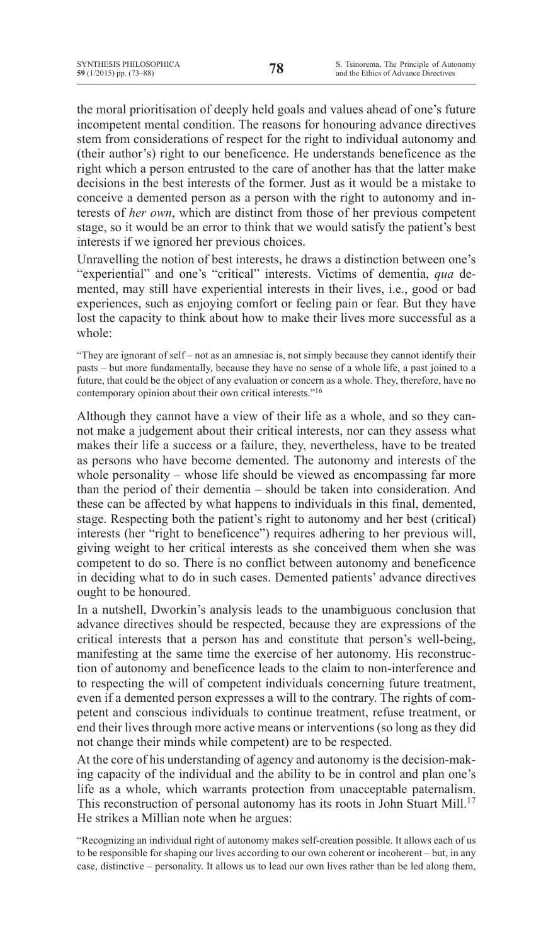the moral prioritisation of deeply held goals and values ahead of one's future incompetent mental condition. The reasons for honouring advance directives stem from considerations of respect for the right to individual autonomy and (their author's) right to our beneficence. He understands beneficence as the right which a person entrusted to the care of another has that the latter make decisions in the best interests of the former. Just as it would be a mistake to conceive a demented person as a person with the right to autonomy and interests of *her own*, which are distinct from those of her previous competent stage, so it would be an error to think that we would satisfy the patient's best interests if we ignored her previous choices.

Unravelling the notion of best interests, he draws a distinction between one's "experiential" and one's "critical" interests. Victims of dementia, *qua* demented, may still have experiential interests in their lives, i.e., good or bad experiences, such as enjoying comfort or feeling pain or fear. But they have lost the capacity to think about how to make their lives more successful as a whole:

"They are ignorant of self – not as an amnesiac is, not simply because they cannot identify their pasts – but more fundamentally, because they have no sense of a whole life, a past joined to a future, that could be the object of any evaluation or concern as a whole. They, therefore, have no contemporary opinion about their own critical interests."16

Although they cannot have a view of their life as a whole, and so they cannot make a judgement about their critical interests, nor can they assess what makes their life a success or a failure, they, nevertheless, have to be treated as persons who have become demented. The autonomy and interests of the whole personality – whose life should be viewed as encompassing far more than the period of their dementia – should be taken into consideration. And these can be affected by what happens to individuals in this final, demented, stage. Respecting both the patient's right to autonomy and her best (critical) interests (her "right to beneficence") requires adhering to her previous will, giving weight to her critical interests as she conceived them when she was competent to do so. There is no conflict between autonomy and beneficence in deciding what to do in such cases. Demented patients' advance directives ought to be honoured.

In a nutshell, Dworkin's analysis leads to the unambiguous conclusion that advance directives should be respected, because they are expressions of the critical interests that a person has and constitute that person's well-being, manifesting at the same time the exercise of her autonomy. His reconstruction of autonomy and beneficence leads to the claim to non-interference and to respecting the will of competent individuals concerning future treatment, even if a demented person expresses a will to the contrary. The rights of competent and conscious individuals to continue treatment, refuse treatment, or end their lives through more active means or interventions (so long as they did not change their minds while competent) are to be respected.

At the core of his understanding of agency and autonomy is the decision-making capacity of the individual and the ability to be in control and plan one's life as a whole, which warrants protection from unacceptable paternalism. This reconstruction of personal autonomy has its roots in John Stuart Mill.<sup>17</sup> He strikes a Millian note when he argues:

"Recognizing an individual right of autonomy makes self-creation possible. It allows each of us to be responsible for shaping our lives according to our own coherent or incoherent – but, in any case, distinctive – personality. It allows us to lead our own lives rather than be led along them,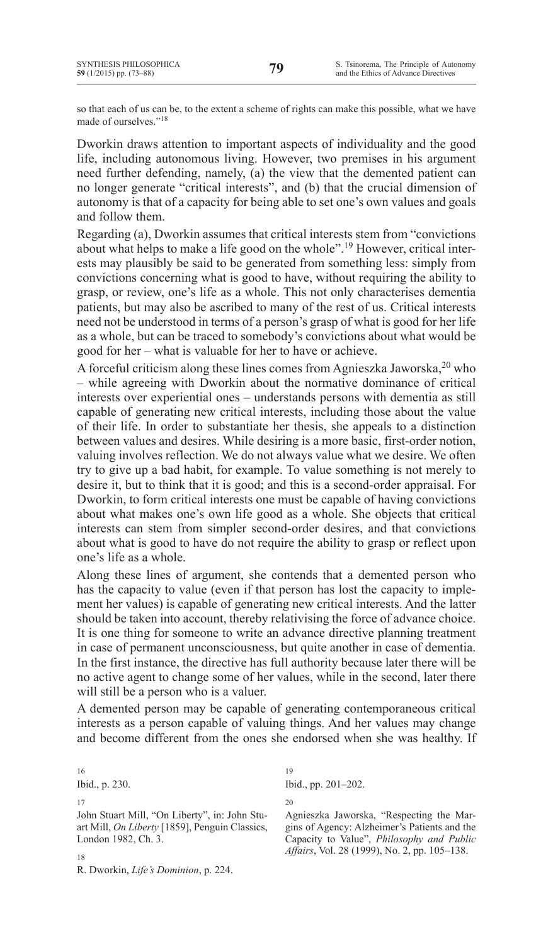so that each of us can be, to the extent a scheme of rights can make this possible, what we have made of ourselves."18

Dworkin draws attention to important aspects of individuality and the good life, including autonomous living. However, two premises in his argument need further defending, namely, (a) the view that the demented patient can no longer generate "critical interests", and (b) that the crucial dimension of autonomy is that of a capacity for being able to set one's own values and goals and follow them.

Regarding (a), Dworkin assumes that critical interests stem from "convictions about what helps to make a life good on the whole".19 However, critical interests may plausibly be said to be generated from something less: simply from convictions concerning what is good to have, without requiring the ability to grasp, or review, one's life as a whole. This not only characterises dementia patients, but may also be ascribed to many of the rest of us. Critical interests need not be understood in terms of a person's grasp of what is good for her life as a whole, but can be traced to somebody's convictions about what would be good for her – what is valuable for her to have or achieve.

A forceful criticism along these lines comes from Agnieszka Jaworska,20 who – while agreeing with Dworkin about the normative dominance of critical interests over experiential ones – understands persons with dementia as still capable of generating new critical interests, including those about the value of their life. In order to substantiate her thesis, she appeals to a distinction between values and desires. While desiring is a more basic, first-order notion, valuing involves reflection. We do not always value what we desire. We often try to give up a bad habit, for example. To value something is not merely to desire it, but to think that it is good; and this is a second-order appraisal. For Dworkin, to form critical interests one must be capable of having convictions about what makes one's own life good as a whole. She objects that critical interests can stem from simpler second-order desires, and that convictions about what is good to have do not require the ability to grasp or reflect upon one's life as a whole.

Along these lines of argument, she contends that a demented person who has the capacity to value (even if that person has lost the capacity to implement her values) is capable of generating new critical interests. And the latter should be taken into account, thereby relativising the force of advance choice. It is one thing for someone to write an advance directive planning treatment in case of permanent unconsciousness, but quite another in case of dementia. In the first instance, the directive has full authority because later there will be no active agent to change some of her values, while in the second, later there will still be a person who is a valuer.

A demented person may be capable of generating contemporaneous critical interests as a person capable of valuing things. And her values may change and become different from the ones she endorsed when she was healthy. If

Ibid., p. 230. 17 John Stuart Mill, "On Liberty", in: John Stuart Mill, *On Liberty* [1859], Penguin Classics, London 1982, Ch. 3.

19 Ibid., pp. 201–202.

 $20$ 

Agnieszka Jaworska, "Respecting the Margins of Agency: Alzheimer's Patients and the Capacity to Value", *Philosophy and Public Affairs*, Vol. 28 (1999), No. 2, pp. 105–138.

18

16

R. Dworkin, *Life's Dominion*, p. 224.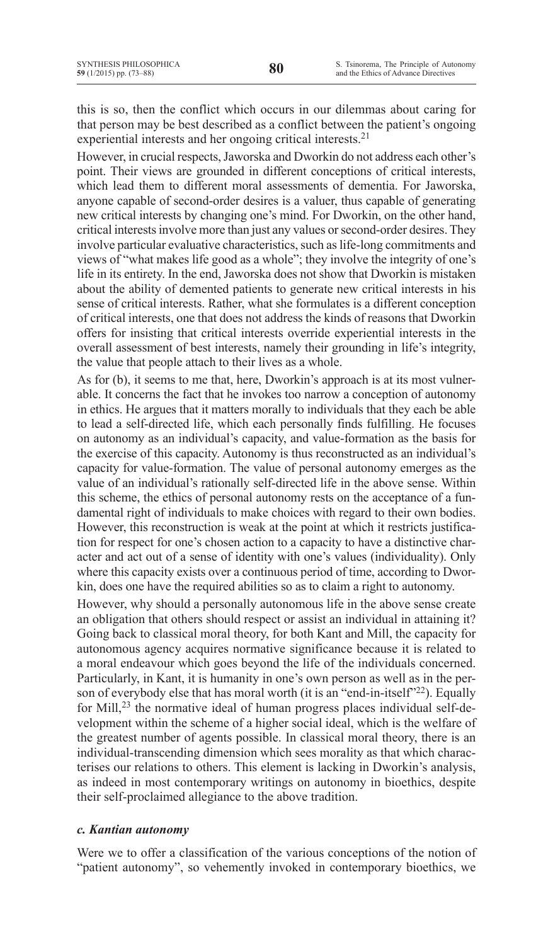this is so, then the conflict which occurs in our dilemmas about caring for that person may be best described as a conflict between the patient's ongoing experiential interests and her ongoing critical interests.<sup>21</sup>

However, in crucial respects, Jaworska and Dworkin do not address each other's point. Their views are grounded in different conceptions of critical interests, which lead them to different moral assessments of dementia. For Jaworska, anyone capable of second-order desires is a valuer, thus capable of generating new critical interests by changing one's mind. For Dworkin, on the other hand, critical interests involve more than just any values or second-order desires. They involve particular evaluative characteristics, such as life-long commitments and views of "what makes life good as a whole"; they involve the integrity of one's life in its entirety. In the end, Jaworska does not show that Dworkin is mistaken about the ability of demented patients to generate new critical interests in his sense of critical interests. Rather, what she formulates is a different conception of critical interests, one that does not address the kinds of reasons that Dworkin offers for insisting that critical interests override experiential interests in the overall assessment of best interests, namely their grounding in life's integrity, the value that people attach to their lives as a whole.

As for (b), it seems to me that, here, Dworkin's approach is at its most vulnerable. It concerns the fact that he invokes too narrow a conception of autonomy in ethics. He argues that it matters morally to individuals that they each be able to lead a self-directed life, which each personally finds fulfilling. He focuses on autonomy as an individual's capacity, and value-formation as the basis for the exercise of this capacity. Autonomy is thus reconstructed as an individual's capacity for value-formation. The value of personal autonomy emerges as the value of an individual's rationally self-directed life in the above sense. Within this scheme, the ethics of personal autonomy rests on the acceptance of a fundamental right of individuals to make choices with regard to their own bodies. However, this reconstruction is weak at the point at which it restricts justification for respect for one's chosen action to a capacity to have a distinctive character and act out of a sense of identity with one's values (individuality). Only where this capacity exists over a continuous period of time, according to Dworkin, does one have the required abilities so as to claim a right to autonomy.

However, why should a personally autonomous life in the above sense create an obligation that others should respect or assist an individual in attaining it? Going back to classical moral theory, for both Kant and Mill, the capacity for autonomous agency acquires normative significance because it is related to a moral endeavour which goes beyond the life of the individuals concerned. Particularly, in Kant, it is humanity in one's own person as well as in the person of everybody else that has moral worth (it is an "end-in-itself"<sup>22</sup>). Equally for Mill, $^{23}$  the normative ideal of human progress places individual self-development within the scheme of a higher social ideal, which is the welfare of the greatest number of agents possible. In classical moral theory, there is an individual-transcending dimension which sees morality as that which characterises our relations to others. This element is lacking in Dworkin's analysis, as indeed in most contemporary writings on autonomy in bioethics, despite their self-proclaimed allegiance to the above tradition.

## *c. Kantian autonomy*

Were we to offer a classification of the various conceptions of the notion of "patient autonomy", so vehemently invoked in contemporary bioethics, we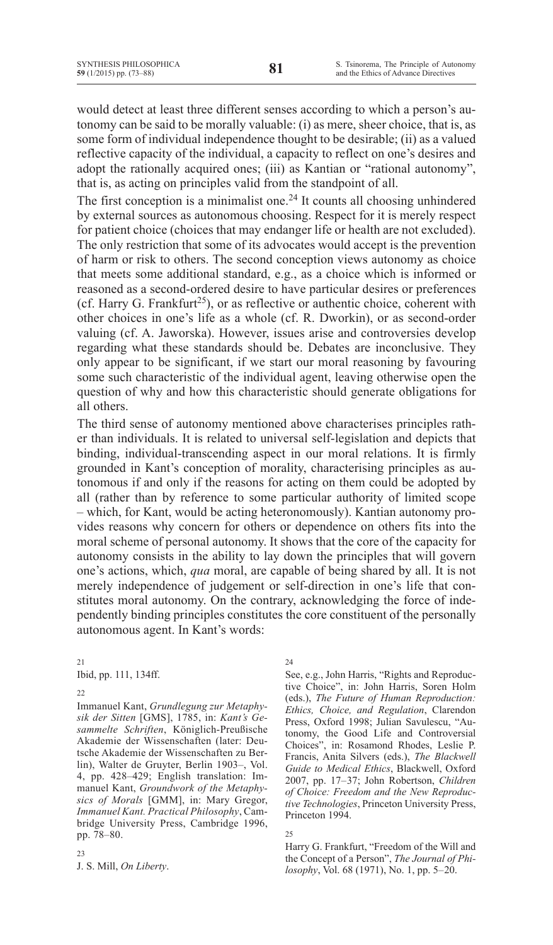would detect at least three different senses according to which a person's autonomy can be said to be morally valuable: (i) as mere, sheer choice, that is, as some form of individual independence thought to be desirable; (ii) as a valued reflective capacity of the individual, a capacity to reflect on one's desires and adopt the rationally acquired ones; (iii) as Kantian or "rational autonomy", that is, as acting on principles valid from the standpoint of all.

The first conception is a minimalist one.<sup>24</sup> It counts all choosing unhindered by external sources as autonomous choosing. Respect for it is merely respect for patient choice (choices that may endanger life or health are not excluded). The only restriction that some of its advocates would accept is the prevention of harm or risk to others. The second conception views autonomy as choice that meets some additional standard, e.g., as a choice which is informed or reasoned as a second-ordered desire to have particular desires or preferences (cf. Harry G. Frankfurt<sup>25</sup>), or as reflective or authentic choice, coherent with other choices in one's life as a whole (cf. R. Dworkin), or as second-order valuing (cf. A. Jaworska). However, issues arise and controversies develop regarding what these standards should be. Debates are inconclusive. They only appear to be significant, if we start our moral reasoning by favouring some such characteristic of the individual agent, leaving otherwise open the question of why and how this characteristic should generate obligations for all others.

The third sense of autonomy mentioned above characterises principles rather than individuals. It is related to universal self-legislation and depicts that binding, individual-transcending aspect in our moral relations. It is firmly grounded in Kant's conception of morality, characterising principles as autonomous if and only if the reasons for acting on them could be adopted by all (rather than by reference to some particular authority of limited scope – which, for Kant, would be acting heteronomously). Kantian autonomy provides reasons why concern for others or dependence on others fits into the moral scheme of personal autonomy. It shows that the core of the capacity for autonomy consists in the ability to lay down the principles that will govern one's actions, which, *qua* moral, are capable of being shared by all. It is not merely independence of judgement or self-direction in one's life that constitutes moral autonomy. On the contrary, acknowledging the force of independently binding principles constitutes the core constituent of the personally autonomous agent. In Kant's words:

21

Ibid, pp. 111, 134ff.

22

Ιmmanuel Kant, *Grundlegung zur Metaphysik der Sitten* [GMS], 1785, in: *Kant's Gesammelte Schriften*, Königlich-Preußische Akademie der Wissenschaften (later: Deutsche Akademie der Wissenschaften zu Berlin), Walter de Gruyter, Berlin 1903–, Vol. 4, pp. 428–429; English translation: Immanuel Kant, *Groundwork of the Metaphysics of Morals* [GMM], in: Mary Gregor, *Immanuel Kant. Practical Philosophy*, Cambridge University Press, Cambridge 1996, pp. 78–80.

23

J. S. Mill, *On Liberty*.

24

See, e.g., John Harris, "Rights and Reproductive Choice", in: John Harris, Soren Holm (eds.), *The Future of Human Reproduction: Ethics, Choice, and Regulation*, Clarendon Press, Oxford 1998; Julian Savulescu, "Autonomy, the Good Life and Controversial Choices", in: Rosamond Rhodes, Leslie P. Francis, Anita Silvers (eds.), *The Blackwell Guide to Medical Ethics*, Blackwell, Oxford 2007, pp. 17–37; John Robertson, *Children of Choice: Freedom and the New Reproductive Technologies*, Princeton University Press, Princeton 1994.

25

Harry G. Frankfurt, "Freedom of the Will and the Concept of a Person", *The Journal of Philosophy*, Vol. 68 (1971), No. 1, pp. 5–20.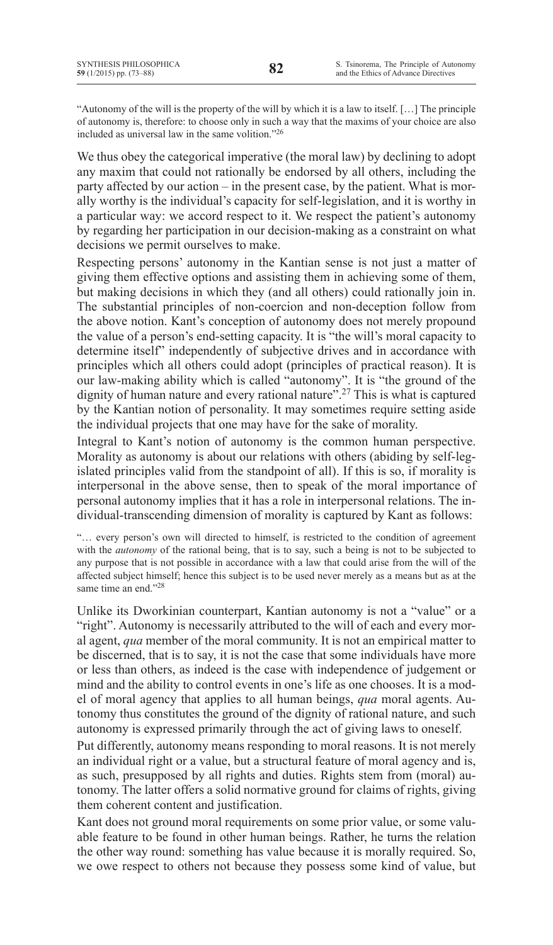"Autonomy of the will is the property of the will by which it is a law to itself. […] The principle of autonomy is, therefore: to choose only in such a way that the maxims of your choice are also included as universal law in the same volition."26

We thus obey the categorical imperative (the moral law) by declining to adopt any maxim that could not rationally be endorsed by all others, including the party affected by our action – in the present case, by the patient. What is morally worthy is the individual's capacity for self-legislation, and it is worthy in a particular way: we accord respect to it. We respect the patient's autonomy by regarding her participation in our decision-making as a constraint on what decisions we permit ourselves to make.

Respecting persons' autonomy in the Kantian sense is not just a matter of giving them effective options and assisting them in achieving some of them, but making decisions in which they (and all others) could rationally join in. The substantial principles of non-coercion and non-deception follow from the above notion. Kant's conception of autonomy does not merely propound the value of a person's end-setting capacity. It is "the will's moral capacity to determine itself" independently of subjective drives and in accordance with principles which all others could adopt (principles of practical reason). It is our law-making ability which is called "autonomy". It is "the ground of the dignity of human nature and every rational nature".27 This is what is captured by the Kantian notion of personality. It may sometimes require setting aside the individual projects that one may have for the sake of morality.

Integral to Kant's notion of autonomy is the common human perspective. Morality as autonomy is about our relations with others (abiding by self-legislated principles valid from the standpoint of all). If this is so, if morality is interpersonal in the above sense, then to speak of the moral importance of personal autonomy implies that it has a role in interpersonal relations. The individual-transcending dimension of morality is captured by Kant as follows:

"… every person's own will directed to himself, is restricted to the condition of agreement with the *autonomy* of the rational being, that is to say, such a being is not to be subjected to any purpose that is not possible in accordance with a law that could arise from the will of the affected subject himself; hence this subject is to be used never merely as a means but as at the same time an end."<sup>28</sup>

Unlike its Dworkinian counterpart, Kantian autonomy is not a "value" or a "right". Autonomy is necessarily attributed to the will of each and every moral agent, *qua* member of the moral community. It is not an empirical matter to be discerned, that is to say, it is not the case that some individuals have more or less than others, as indeed is the case with independence of judgement or mind and the ability to control events in one's life as one chooses. It is a model of moral agency that applies to all human beings, *qua* moral agents. Autonomy thus constitutes the ground of the dignity of rational nature, and such autonomy is expressed primarily through the act of giving laws to oneself.

Put differently, autonomy means responding to moral reasons. It is not merely an individual right or a value, but a structural feature of moral agency and is, as such, presupposed by all rights and duties. Rights stem from (moral) autonomy. The latter offers a solid normative ground for claims of rights, giving them coherent content and justification.

Kant does not ground moral requirements on some prior value, or some valuable feature to be found in other human beings. Rather, he turns the relation the other way round: something has value because it is morally required. So, we owe respect to others not because they possess some kind of value, but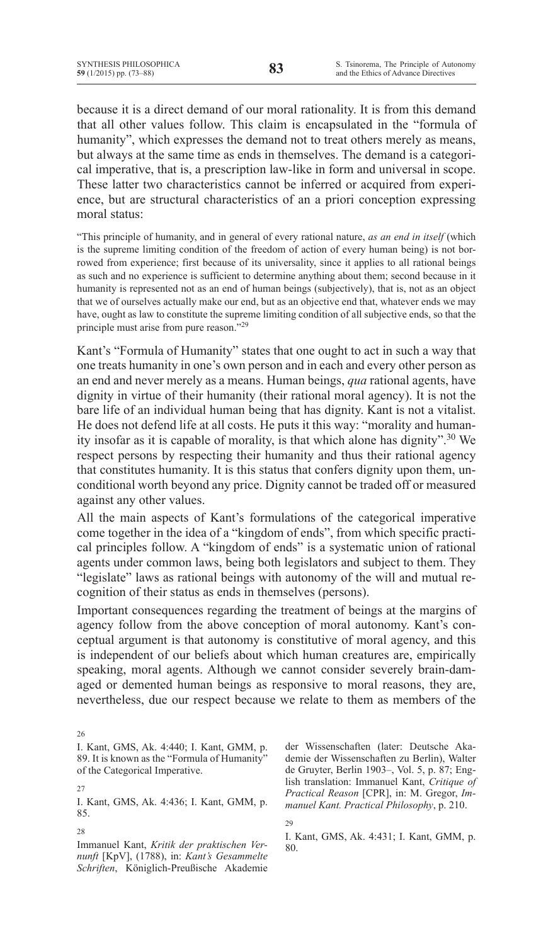because it is a direct demand of our moral rationality. It is from this demand that all other values follow. This claim is encapsulated in the "formula of humanity", which expresses the demand not to treat others merely as means, but always at the same time as ends in themselves. The demand is a categorical imperative, that is, a prescription law-like in form and universal in scope. These latter two characteristics cannot be inferred or acquired from experience, but are structural characteristics of an a priori conception expressing moral status:

"This principle of humanity, and in general of every rational nature, *as an end in itself* (which is the supreme limiting condition of the freedom of action of every human being) is not borrowed from experience; first because of its universality, since it applies to all rational beings as such and no experience is sufficient to determine anything about them; second because in it humanity is represented not as an end of human beings (subjectively), that is, not as an object that we of ourselves actually make our end, but as an objective end that, whatever ends we may have, ought as law to constitute the supreme limiting condition of all subjective ends, so that the principle must arise from pure reason."29

Kant's "formula of humanity" states that one ought to act in such a way that one treats humanity in one's own person and in each and every other person as an end and never merely as a means. Human beings, *qua* rational agents, have dignity in virtue of their humanity (their rational moral agency). It is not the bare life of an individual human being that has dignity. Kant is not a vitalist. He does not defend life at all costs. He puts it this way: "morality and humanity insofar as it is capable of morality, is that which alone has dignity".30 We respect persons by respecting their humanity and thus their rational agency that constitutes humanity. It is this status that confers dignity upon them, unconditional worth beyond any price. Dignity cannot be traded off or measured against any other values.

All the main aspects of Kant's formulations of the categorical imperative come together in the idea of a "kingdom of ends", from which specific practical principles follow. A "kingdom of ends" is a systematic union of rational agents under common laws, being both legislators and subject to them. They "legislate" laws as rational beings with autonomy of the will and mutual recognition of their status as ends in themselves (persons).

Important consequences regarding the treatment of beings at the margins of agency follow from the above conception of moral autonomy. Kant's conceptual argument is that autonomy is constitutive of moral agency, and this is independent of our beliefs about which human creatures are, empirically speaking, moral agents. Although we cannot consider severely brain-damaged or demented human beings as responsive to moral reasons, they are, nevertheless, due our respect because we relate to them as members of the

26 I. Kant, GMS, Ak. 4:440; I. Kant, GMM, p. 89. It is known as the "Formula of Humanity" of the Categorical Imperative.

27

I. Kant, GMS, Ak. 4:436; I. Kant, GMM, p. 85.

28

Immanuel Kant, *Kritik der praktischen Vernunft* [KpV], (1788), in: *Kant's Gesammelte Schriften*, Königlich-Preußische Akademie der Wissenschaften (later: Deutsche Akademie der Wissenschaften zu Berlin), Walter de Gruyter, Berlin 1903–, Vol. 5, p. 87; English translation: Immanuel Kant, *Critique of Practical Reason* [CPR], in: M. Gregor, *Immanuel Kant. Practical Philosophy*, p. 210.

29

I. Kant, GMS, Ak. 4:431; I. Kant, GMM, p. 80.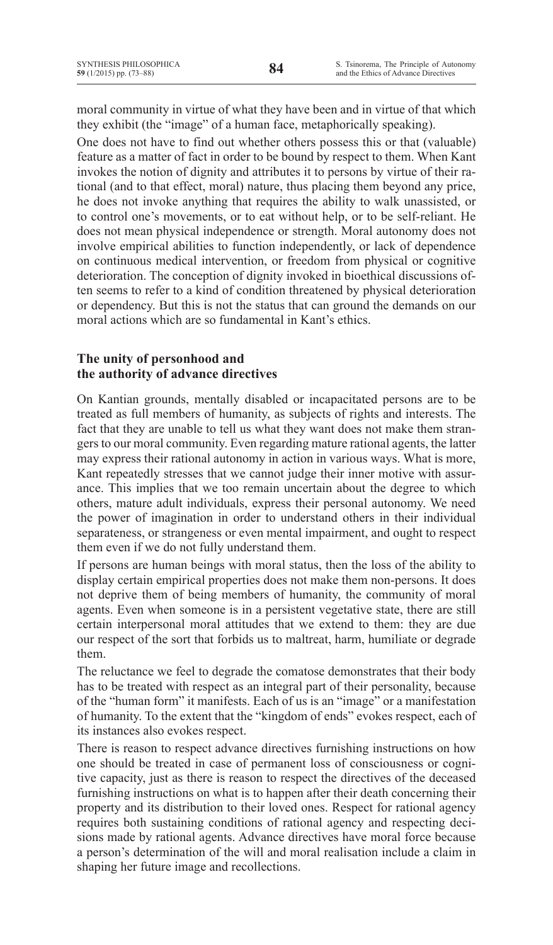moral community in virtue of what they have been and in virtue of that which they exhibit (the "image" of a human face, metaphorically speaking).

One does not have to find out whether others possess this or that (valuable) feature as a matter of fact in order to be bound by respect to them. When Kant invokes the notion of dignity and attributes it to persons by virtue of their rational (and to that effect, moral) nature, thus placing them beyond any price, he does not invoke anything that requires the ability to walk unassisted, or to control one's movements, or to eat without help, or to be self-reliant. He does not mean physical independence or strength. Moral autonomy does not involve empirical abilities to function independently, or lack of dependence on continuous medical intervention, or freedom from physical or cognitive deterioration. The conception of dignity invoked in bioethical discussions often seems to refer to a kind of condition threatened by physical deterioration or dependency. But this is not the status that can ground the demands on our moral actions which are so fundamental in Kant's ethics.

## **The unity of personhood and the authority of advance directives**

On Kantian grounds, mentally disabled or incapacitated persons are to be treated as full members of humanity, as subjects of rights and interests. The fact that they are unable to tell us what they want does not make them strangersto our moral community. Even regarding mature rational agents, the latter may express their rational autonomy in action in various ways. What is more, Kant repeatedly stresses that we cannot judge their inner motive with assurance. This implies that we too remain uncertain about the degree to which others, mature adult individuals, express their personal autonomy. We need the power of imagination in order to understand others in their individual separateness, or strangeness or even mental impairment, and ought to respect them even if we do not fully understand them.

If persons are human beings with moral status, then the loss of the ability to display certain empirical properties does not make them non-persons. It does not deprive them of being members of humanity, the community of moral agents. Even when someone is in a persistent vegetative state, there are still certain interpersonal moral attitudes that we extend to them: they are due our respect of the sort that forbids us to maltreat, harm, humiliate or degrade them.

The reluctance we feel to degrade the comatose demonstrates that their body has to be treated with respect as an integral part of their personality, because of the "human form" it manifests. Each of us is an "image" or a manifestation of humanity. To the extent that the "kingdom of ends" evokes respect, each of its instances also evokes respect.

There is reason to respect advance directives furnishing instructions on how one should be treated in case of permanent loss of consciousness or cognitive capacity, just as there is reason to respect the directives of the deceased furnishing instructions on what is to happen after their death concerning their property and its distribution to their loved ones. Respect for rational agency requires both sustaining conditions of rational agency and respecting decisions made by rational agents. Advance directives have moral force because a person's determination of the will and moral realisation include a claim in shaping her future image and recollections.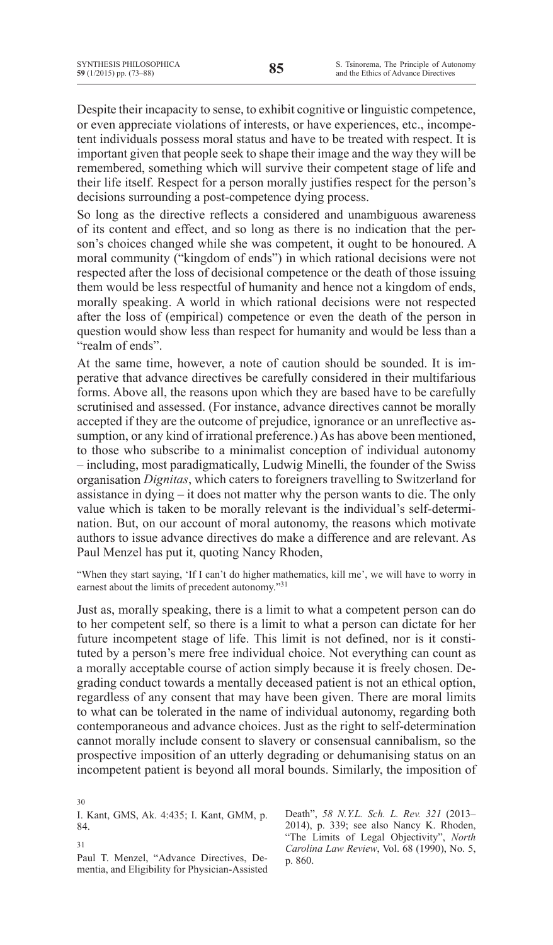Despite their incapacity to sense, to exhibit cognitive or linguistic competence, or even appreciate violations of interests, or have experiences, etc., incompetent individuals possess moral status and have to be treated with respect. It is important given that people seek to shape their image and the way they will be remembered, something which will survive their competent stage of life and their life itself. Respect for a person morally justifies respect for the person's decisions surrounding a post-competence dying process.

So long as the directive reflects a considered and unambiguous awareness of its content and effect, and so long as there is no indication that the person's choices changed while she was competent, it ought to be honoured. A moral community ("kingdom of ends") in which rational decisions were not respected after the loss of decisional competence or the death of those issuing them would be less respectful of humanity and hence not a kingdom of ends, morally speaking. A world in which rational decisions were not respected after the loss of (empirical) competence or even the death of the person in question would show less than respect for humanity and would be less than a "realm of ends".

At the same time, however, a note of caution should be sounded. It is imperative that advance directives be carefully considered in their multifarious forms. Above all, the reasons upon which they are based have to be carefully scrutinised and assessed. (For instance, advance directives cannot be morally accepted if they are the outcome of prejudice, ignorance or an unreflective assumption, or any kind of irrational preference.) As has above been mentioned, to those who subscribe to a minimalist conception of individual autonomy – including, most paradigmatically, Ludwig Minelli, the founder of the Swiss organisation *Dignitas*, which caters to foreigners travelling to Switzerland for assistance in dying – it does not matter why the person wants to die. The only value which is taken to be morally relevant is the individual's self-determination. But, on our account of moral autonomy, the reasons which motivate authors to issue advance directives do make a difference and are relevant. As Paul Menzel has put it, quoting Nancy Rhoden,

"When they start saying, 'If I can't do higher mathematics, kill me', we will have to worry in earnest about the limits of precedent autonomy."<sup>31</sup>

Just as, morally speaking, there is a limit to what a competent person can do to her competent self, so there is a limit to what a person can dictate for her future incompetent stage of life. This limit is not defined, nor is it constituted by a person's mere free individual choice. Not everything can count as a morally acceptable course of action simply because it is freely chosen. Degrading conduct towards a mentally deceased patient is not an ethical option, regardless of any consent that may have been given. There are moral limits to what can be tolerated in the name of individual autonomy, regarding both contemporaneous and advance choices. Just as the right to self-determination cannot morally include consent to slavery or consensual cannibalism, so the prospective imposition of an utterly degrading or dehumanising status on an incompetent patient is beyond all moral bounds. Similarly, the imposition of

I. Kant, GMS, Ak. 4:435; I. Kant, GMM, p. 84.

31

Paul T. Menzel, "Advance Directives, Dementia, and Eligibility for Physician-Assisted Death", *58 N.Y.L. Sch. L. Rev. 321* (2013– 2014), p. 339; see also Nancy K. Rhoden, "The Limits of Legal Objectivity", *North Carolina Law Review*, Vol. 68 (1990), No. 5, p. 860.

<sup>30</sup>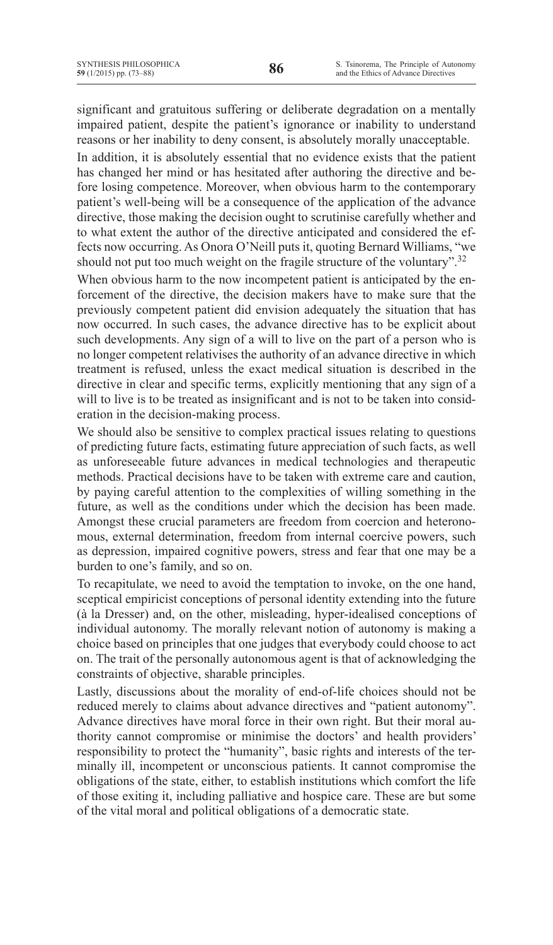significant and gratuitous suffering or deliberate degradation on a mentally impaired patient, despite the patient's ignorance or inability to understand reasons or her inability to deny consent, is absolutely morally unacceptable.

In addition, it is absolutely essential that no evidence exists that the patient has changed her mind or has hesitated after authoring the directive and before losing competence. Moreover, when obvious harm to the contemporary patient's well-being will be a consequence of the application of the advance directive, those making the decision ought to scrutinise carefully whether and to what extent the author of the directive anticipated and considered the effects now occurring. As Onora O'Neill puts it, quoting Bernard Williams, "we should not put too much weight on the fragile structure of the voluntary".<sup>32</sup>

When obvious harm to the now incompetent patient is anticipated by the enforcement of the directive, the decision makers have to make sure that the previously competent patient did envision adequately the situation that has now occurred. In such cases, the advance directive has to be explicit about such developments. Any sign of a will to live on the part of a person who is no longer competent relativises the authority of an advance directive in which treatment is refused, unless the exact medical situation is described in the directive in clear and specific terms, explicitly mentioning that any sign of a will to live is to be treated as insignificant and is not to be taken into consideration in the decision-making process.

We should also be sensitive to complex practical issues relating to questions of predicting future facts, estimating future appreciation of such facts, as well as unforeseeable future advances in medical technologies and therapeutic methods. Practical decisions have to be taken with extreme care and caution, by paying careful attention to the complexities of willing something in the future, as well as the conditions under which the decision has been made. Amongst these crucial parameters are freedom from coercion and heteronomous, external determination, freedom from internal coercive powers, such as depression, impaired cognitive powers, stress and fear that one may be a burden to one's family, and so on.

To recapitulate, we need to avoid the temptation to invoke, on the one hand, sceptical empiricist conceptions of personal identity extending into the future (à la Dresser) and, on the other, misleading, hyper-idealised conceptions of individual autonomy. The morally relevant notion of autonomy is making a choice based on principles that one judges that everybody could choose to act on. The trait of the personally autonomous agent is that of acknowledging the constraints of objective, sharable principles.

Lastly, discussions about the morality of end-of-life choices should not be reduced merely to claims about advance directives and "patient autonomy". Advance directives have moral force in their own right. But their moral authority cannot compromise or minimise the doctors' and health providers' responsibility to protect the "humanity", basic rights and interests of the terminally ill, incompetent or unconscious patients. It cannot compromise the obligations of the state, either, to establish institutions which comfort the life of those exiting it, including palliative and hospice care. These are but some of the vital moral and political obligations of a democratic state.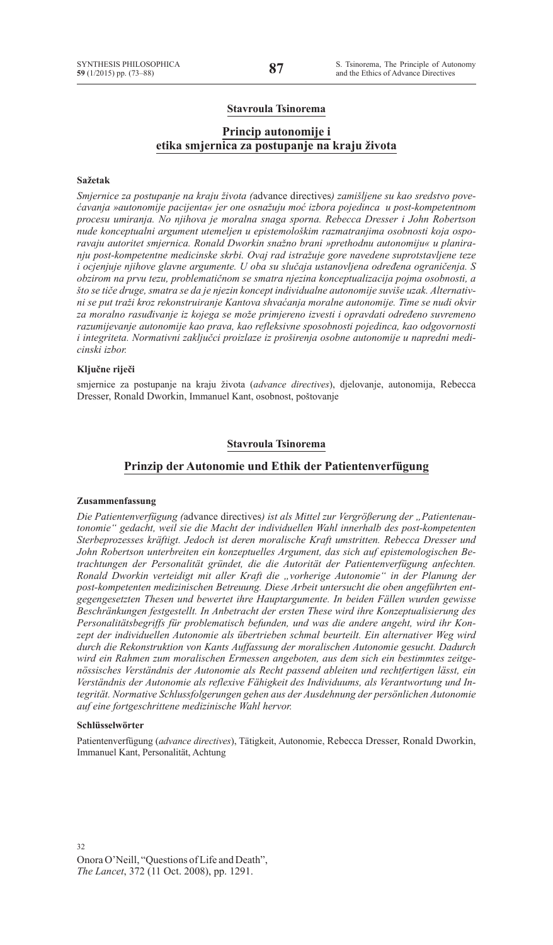## **Stavroula Tsinorema**

## **Princip autonomije i etika smjernica za postupanje na kraju života**

#### **Sažetak**

*Smjernice za postupanje na kraju života (*advance directives*) zamišljene su kao sredstvo povećavanja »autonomije pacijenta« jer one osnažuju moć izbora pojedinca u post-kompetentnom procesu umiranja. No njihova je moralna snaga sporna. Rebecca Dresser i John Robertson nude konceptualni argument utemeljen u epistemološkim razmatranjima osobnosti koja osporavaju autoritet smjernica. Ronald Dworkin snažno brani »prethodnu autonomiju« u planiranju post-kompetentne medicinske skrbi. Ovaj rad istražuje gore navedene suprotstavljene teze i ocjenjuje njihove glavne argumente. U oba su slučaja ustanovljena određena ograničenja. S obzirom na prvu tezu, problematičnom se smatra njezina konceptualizacija pojma osobnosti, a što se tiče druge, smatra se da je njezin koncept individualne autonomije suviše uzak. Alternativni se put traži kroz rekonstruiranje Kantova shvaćanja moralne autonomije. Time se nudi okvir za moralno rasuđivanje iz kojega se može primjereno izvesti i opravdati određeno suvremeno razumijevanje autonomije kao prava, kao refleksivne sposobnosti pojedinca, kao odgovornosti i integriteta. Normativni zaključci proizlaze iz proširenja osobne autonomije u napredni medicinski izbor.* 

### **Ključne riječi**

smjernice za postupanje na kraju života (*advance directives*), djelovanje, autonomija, Rebecca Dresser, Ronald Dworkin, Immanuel Kant, osobnost, poštovanje

### **Stavroula Tsinorema**

### **Prinzip der Autonomie und Ethik der Patientenverfügung**

#### **Zusammenfassung**

Die Patientenverfügung (advance directives) ist als Mittel zur Vergrößerung der "Patientenau*tonomie" gedacht, weil sie die Macht der individuellen Wahl innerhalb des post-kompetenten Sterbeprozesses kräftigt. Jedoch ist deren moralische Kraft umstritten. Rebecca Dresser und John Robertson unterbreiten ein konzeptuelles Argument, das sich auf epistemologischen Betrachtungen der Personalität gründet, die die Autorität der Patientenverfügung anfechten. Ronald Dworkin verteidigt mit aller Kraft die "vorherige Autonomie" in der Planung der post-kompetenten medizinischen Betreuung. Diese Arbeit untersucht die oben angeführten entgegengesetzten Thesen und bewertet ihre Hauptargumente. In beiden Fällen wurden gewisse Beschränkungen festgestellt. In Anbetracht der ersten These wird ihre Konzeptualisierung des Personalitätsbegriffs für problematisch befunden, und was die andere angeht, wird ihr Konzept der individuellen Autonomie als übertrieben schmal beurteilt. Ein alternativer Weg wird durch die Rekonstruktion von Kants Auffassung der moralischen Autonomie gesucht. Dadurch wird ein Rahmen zum moralischen Ermessen angeboten, aus dem sich ein bestimmtes zeitgenössisches Verständnis der Autonomie als Recht passend ableiten und rechtfertigen lässt, ein Verständnis der Autonomie als reflexive Fähigkeit des Individuums, als Verantwortung und Integrität. Normative Schlussfolgerungen gehen aus der Ausdehnung der persönlichen Autonomie auf eine fortgeschrittene medizinische Wahl hervor.*

#### **Schlüsselwörter**

Patientenverfügung (*advance directives*), Tätigkeit, Autonomie, Rebecca Dresser, Ronald Dworkin, Immanuel Kant, Personalität, Achtung